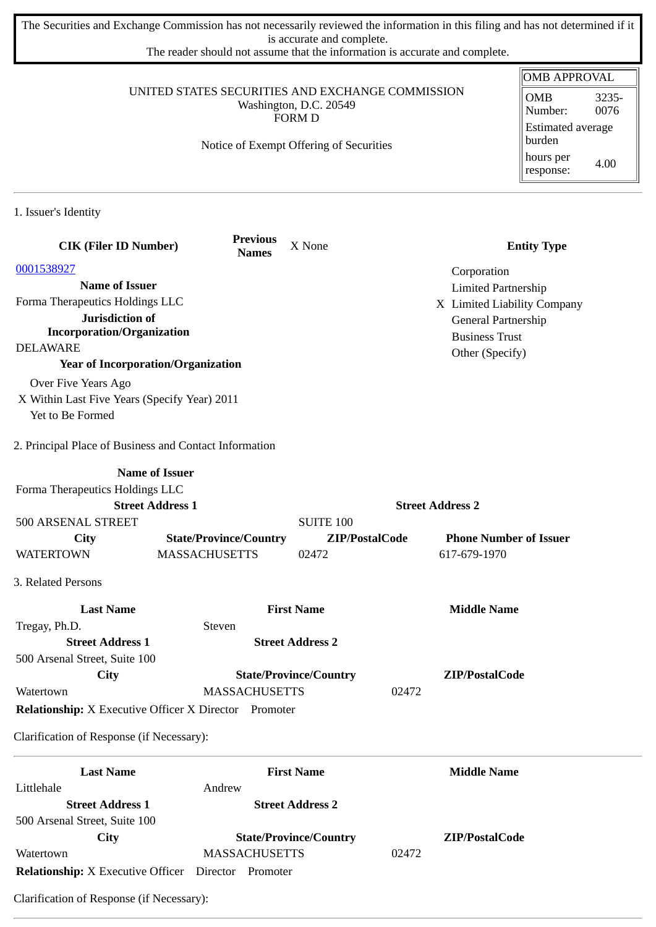The Securities and Exchange Commission has not necessarily reviewed the information in this filing and has not determined if it is accurate and complete.

The reader should not assume that the information is accurate and complete.

|                                                                                             |                                         |                               |                            | <b>OMB APPROVAL</b>                    |
|---------------------------------------------------------------------------------------------|-----------------------------------------|-------------------------------|----------------------------|----------------------------------------|
| UNITED STATES SECURITIES AND EXCHANGE COMMISSION<br>Washington, D.C. 20549<br><b>FORM D</b> |                                         |                               |                            | <b>OMB</b><br>3235-<br>Number:<br>0076 |
|                                                                                             | Notice of Exempt Offering of Securities |                               |                            | <b>Estimated average</b><br>burden     |
|                                                                                             |                                         |                               |                            | hours per<br>4.00<br>response:         |
| 1. Issuer's Identity                                                                        |                                         |                               |                            |                                        |
| <b>CIK (Filer ID Number)</b>                                                                | <b>Previous</b><br><b>Names</b>         | X None                        |                            | <b>Entity Type</b>                     |
| 0001538927                                                                                  |                                         |                               | Corporation                |                                        |
| <b>Name of Issuer</b>                                                                       |                                         |                               | <b>Limited Partnership</b> |                                        |
| Forma Therapeutics Holdings LLC                                                             |                                         |                               |                            | X Limited Liability Company            |
| Jurisdiction of                                                                             |                                         |                               | General Partnership        |                                        |
| <b>Incorporation/Organization</b>                                                           |                                         |                               | <b>Business Trust</b>      |                                        |
| <b>DELAWARE</b>                                                                             |                                         |                               | Other (Specify)            |                                        |
| <b>Year of Incorporation/Organization</b>                                                   |                                         |                               |                            |                                        |
| Over Five Years Ago                                                                         |                                         |                               |                            |                                        |
| X Within Last Five Years (Specify Year) 2011                                                |                                         |                               |                            |                                        |
| Yet to Be Formed                                                                            |                                         |                               |                            |                                        |
| 2. Principal Place of Business and Contact Information                                      |                                         |                               |                            |                                        |
|                                                                                             | <b>Name of Issuer</b>                   |                               |                            |                                        |
| Forma Therapeutics Holdings LLC                                                             |                                         |                               |                            |                                        |
|                                                                                             | <b>Street Address 1</b>                 |                               | <b>Street Address 2</b>    |                                        |
| 500 ARSENAL STREET                                                                          |                                         | <b>SUITE 100</b>              |                            |                                        |
| <b>City</b>                                                                                 | <b>State/Province/Country</b>           | ZIP/PostalCode                |                            | <b>Phone Number of Issuer</b>          |
| <b>WATERTOWN</b>                                                                            | <b>MASSACHUSETTS</b>                    | 02472                         | 617-679-1970               |                                        |
| 3. Related Persons                                                                          |                                         |                               |                            |                                        |
| <b>Last Name</b>                                                                            |                                         | <b>First Name</b>             | <b>Middle Name</b>         |                                        |
| Tregay, Ph.D.                                                                               | Steven                                  |                               |                            |                                        |
| <b>Street Address 1</b>                                                                     |                                         | <b>Street Address 2</b>       |                            |                                        |
| 500 Arsenal Street, Suite 100                                                               |                                         |                               |                            |                                        |
| City                                                                                        |                                         | <b>State/Province/Country</b> | ZIP/PostalCode             |                                        |
| Watertown                                                                                   | <b>MASSACHUSETTS</b>                    |                               | 02472                      |                                        |
| <b>Relationship:</b> X Executive Officer X Director Promoter                                |                                         |                               |                            |                                        |
| Clarification of Response (if Necessary):                                                   |                                         |                               |                            |                                        |
| <b>Last Name</b>                                                                            |                                         | <b>First Name</b>             | <b>Middle Name</b>         |                                        |
| Littlehale                                                                                  | Andrew                                  |                               |                            |                                        |
| <b>Street Address 1</b>                                                                     |                                         | <b>Street Address 2</b>       |                            |                                        |
| 500 Arsenal Street, Suite 100                                                               |                                         |                               |                            |                                        |
| <b>City</b>                                                                                 |                                         | <b>State/Province/Country</b> | ZIP/PostalCode             |                                        |
| Watertown                                                                                   | <b>MASSACHUSETTS</b>                    |                               | 02472                      |                                        |

**Relationship:** X Executive Officer Director Promoter

Clarification of Response (if Necessary):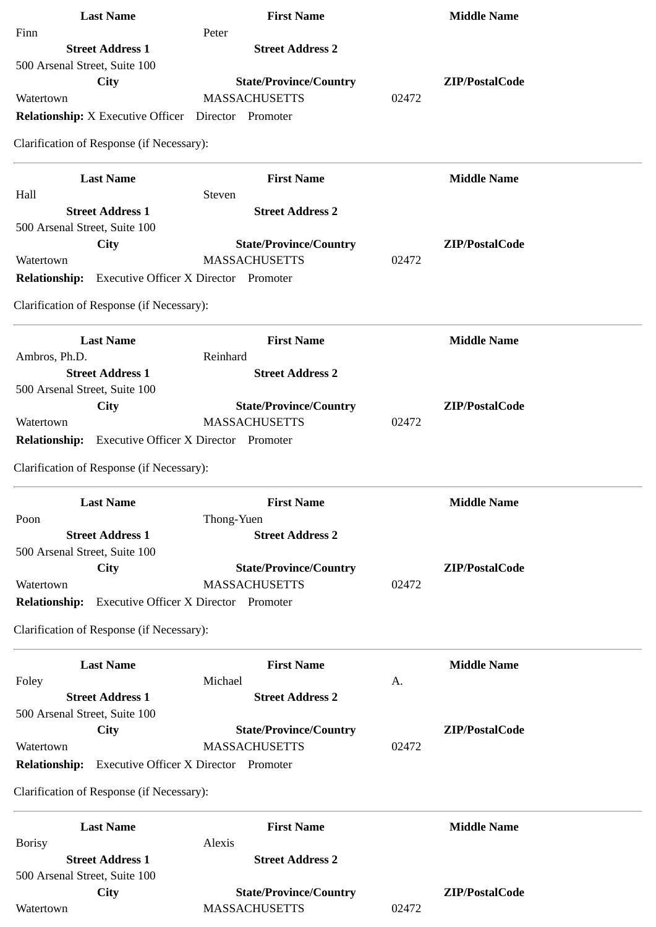| <b>Last Name</b>                                           | <b>First Name</b>                            | <b>Middle Name</b> |
|------------------------------------------------------------|----------------------------------------------|--------------------|
| Finn                                                       | Peter                                        |                    |
| <b>Street Address 1</b>                                    | <b>Street Address 2</b>                      |                    |
| 500 Arsenal Street, Suite 100                              |                                              |                    |
| <b>City</b>                                                | <b>State/Province/Country</b>                | ZIP/PostalCode     |
| Watertown                                                  | <b>MASSACHUSETTS</b>                         | 02472              |
| Relationship: X Executive Officer  Director  Promoter      |                                              |                    |
| Clarification of Response (if Necessary):                  |                                              |                    |
| <b>Last Name</b>                                           | <b>First Name</b>                            | <b>Middle Name</b> |
| Hall                                                       | Steven                                       |                    |
| <b>Street Address 1</b>                                    | <b>Street Address 2</b>                      |                    |
| 500 Arsenal Street, Suite 100                              |                                              |                    |
| City                                                       | <b>State/Province/Country</b>                | ZIP/PostalCode     |
| Watertown                                                  | <b>MASSACHUSETTS</b>                         | 02472              |
| <b>Relationship:</b> Executive Officer X Director Promoter |                                              |                    |
| Clarification of Response (if Necessary):                  |                                              |                    |
| <b>Last Name</b>                                           | <b>First Name</b>                            | <b>Middle Name</b> |
| Ambros, Ph.D.                                              | Reinhard                                     |                    |
| <b>Street Address 1</b>                                    | <b>Street Address 2</b>                      |                    |
| 500 Arsenal Street, Suite 100                              |                                              |                    |
| <b>City</b>                                                | <b>State/Province/Country</b>                | ZIP/PostalCode     |
| Watertown                                                  | <b>MASSACHUSETTS</b>                         | 02472              |
| <b>Relationship:</b>                                       | <b>Executive Officer X Director Promoter</b> |                    |
| Clarification of Response (if Necessary):                  |                                              |                    |
| <b>Last Name</b>                                           | <b>First Name</b>                            | <b>Middle Name</b> |
| Poon                                                       | Thong-Yuen                                   |                    |
| <b>Street Address 1</b>                                    | <b>Street Address 2</b>                      |                    |
| 500 Arsenal Street, Suite 100                              |                                              |                    |
| City                                                       | <b>State/Province/Country</b>                | ZIP/PostalCode     |
| Watertown                                                  | <b>MASSACHUSETTS</b>                         | 02472              |
| <b>Relationship:</b> Executive Officer X Director Promoter |                                              |                    |
| Clarification of Response (if Necessary):                  |                                              |                    |
| <b>Last Name</b>                                           | <b>First Name</b>                            | <b>Middle Name</b> |
| Foley                                                      | Michael                                      | A.                 |
| <b>Street Address 1</b>                                    | <b>Street Address 2</b>                      |                    |
| 500 Arsenal Street, Suite 100                              |                                              |                    |
| <b>City</b>                                                | <b>State/Province/Country</b>                | ZIP/PostalCode     |
| Watertown                                                  | <b>MASSACHUSETTS</b>                         | 02472              |
| <b>Relationship:</b>                                       | <b>Executive Officer X Director Promoter</b> |                    |
| Clarification of Response (if Necessary):                  |                                              |                    |
| <b>Last Name</b>                                           | <b>First Name</b>                            | <b>Middle Name</b> |
| <b>Borisy</b>                                              | Alexis                                       |                    |
| <b>Street Address 1</b>                                    | <b>Street Address 2</b>                      |                    |
| 500 Arsenal Street, Suite 100                              |                                              |                    |
| <b>City</b>                                                | <b>State/Province/Country</b>                | ZIP/PostalCode     |
| Watertown                                                  | <b>MASSACHUSETTS</b>                         | 02472              |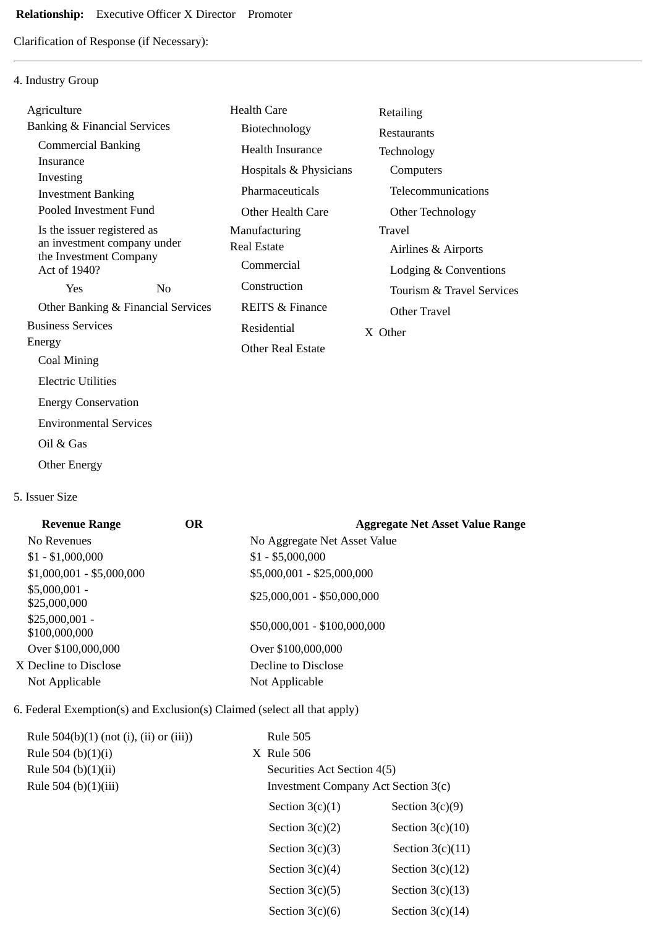# **Relationship:** Executive Officer X Director Promoter

Clarification of Response (if Necessary):

## 4. Industry Group

| Agriculture                                           |     | <b>Health Care</b>         | Retailing                 |
|-------------------------------------------------------|-----|----------------------------|---------------------------|
| Banking & Financial Services                          |     | Biotechnology              | Restaurants               |
| <b>Commercial Banking</b>                             |     | <b>Health Insurance</b>    | Technology                |
| Insurance                                             |     | Hospitals & Physicians     | Computers                 |
| Investing<br><b>Investment Banking</b>                |     | Pharmaceuticals            | Telecommunications        |
| Pooled Investment Fund                                |     | Other Health Care          | Other Technology          |
| Is the issuer registered as                           |     | Manufacturing              | Travel                    |
| an investment company under<br>the Investment Company |     | <b>Real Estate</b>         | Airlines & Airports       |
| Act of 1940?                                          |     | Commercial                 | Lodging & Conventions     |
| <b>Yes</b>                                            | No. | Construction               | Tourism & Travel Services |
| Other Banking & Financial Services                    |     | <b>REITS &amp; Finance</b> | Other Travel              |
| <b>Business Services</b>                              |     | Residential                | X Other                   |
| Energy                                                |     | <b>Other Real Estate</b>   |                           |
| Coal Mining                                           |     |                            |                           |
| <b>Electric Utilities</b>                             |     |                            |                           |
| <b>Energy Conservation</b>                            |     |                            |                           |
| <b>Environmental Services</b>                         |     |                            |                           |

- Oil & Gas
- Other Energy

#### 5. Issuer Size

| <b>Revenue Range</b>             | <b>OR</b> | <b>Aggregate Net Asset Value Range</b> |
|----------------------------------|-----------|----------------------------------------|
| No Revenues                      |           | No Aggregate Net Asset Value           |
| $$1 - $1,000,000$                |           | $$1 - $5,000,000$                      |
| $$1,000,001 - $5,000,000$        |           | \$5,000,001 - \$25,000,000             |
| $$5,000,001 -$<br>\$25,000,000   |           | $$25,000,001 - $50,000,000$            |
| $$25,000,001 -$<br>\$100,000,000 |           | \$50,000,001 - \$100,000,000           |
| Over \$100,000,000               |           | Over \$100,000,000                     |
| X Decline to Disclose            |           | Decline to Disclose                    |
| Not Applicable                   |           | Not Applicable                         |
|                                  |           |                                        |

## 6. Federal Exemption(s) and Exclusion(s) Claimed (select all that apply)

| Rule $504(b)(1)$ (not (i), (ii) or (iii)) | <b>Rule 505</b>                     |                    |  |
|-------------------------------------------|-------------------------------------|--------------------|--|
| Rule 504 (b) $(1)(i)$                     | X Rule 506                          |                    |  |
| Rule 504 (b) $(1)(ii)$                    | Securities Act Section 4(5)         |                    |  |
| Rule 504 (b)(1)(iii)                      | Investment Company Act Section 3(c) |                    |  |
|                                           | Section $3(c)(1)$                   | Section $3(c)(9)$  |  |
|                                           | Section $3(c)(2)$                   | Section $3(c)(10)$ |  |
|                                           | Section $3(c)(3)$                   | Section $3(c)(11)$ |  |
|                                           | Section $3(c)(4)$                   | Section $3(c)(12)$ |  |
|                                           | Section $3(c)(5)$                   | Section $3(c)(13)$ |  |
|                                           | Section $3(c)(6)$                   | Section $3(c)(14)$ |  |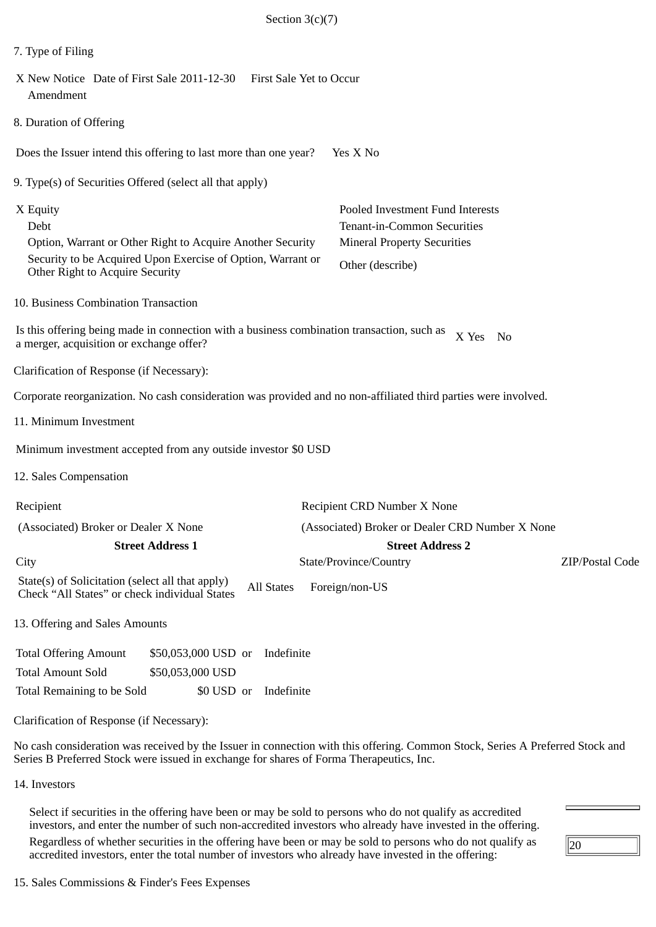| Section $3(c)(7)$                                                                                                                                                                |                                                                                                                           |  |  |  |  |
|----------------------------------------------------------------------------------------------------------------------------------------------------------------------------------|---------------------------------------------------------------------------------------------------------------------------|--|--|--|--|
| 7. Type of Filing                                                                                                                                                                |                                                                                                                           |  |  |  |  |
| X New Notice Date of First Sale 2011-12-30<br><b>First Sale Yet to Occur</b><br>Amendment                                                                                        |                                                                                                                           |  |  |  |  |
| 8. Duration of Offering                                                                                                                                                          |                                                                                                                           |  |  |  |  |
| Does the Issuer intend this offering to last more than one year?                                                                                                                 | Yes X No                                                                                                                  |  |  |  |  |
| 9. Type(s) of Securities Offered (select all that apply)                                                                                                                         |                                                                                                                           |  |  |  |  |
| X Equity<br>Debt<br>Option, Warrant or Other Right to Acquire Another Security<br>Security to be Acquired Upon Exercise of Option, Warrant or<br>Other Right to Acquire Security | Pooled Investment Fund Interests<br>Tenant-in-Common Securities<br><b>Mineral Property Securities</b><br>Other (describe) |  |  |  |  |
| 10. Business Combination Transaction                                                                                                                                             |                                                                                                                           |  |  |  |  |
| Is this offering being made in connection with a business combination transaction, such as<br>a merger, acquisition or exchange offer?                                           | X Yes<br>No                                                                                                               |  |  |  |  |
| Clarification of Response (if Necessary):                                                                                                                                        |                                                                                                                           |  |  |  |  |
| Corporate reorganization. No cash consideration was provided and no non-affiliated third parties were involved.                                                                  |                                                                                                                           |  |  |  |  |
| 11. Minimum Investment                                                                                                                                                           |                                                                                                                           |  |  |  |  |
| Minimum investment accepted from any outside investor \$0 USD                                                                                                                    |                                                                                                                           |  |  |  |  |
| 12. Sales Compensation                                                                                                                                                           |                                                                                                                           |  |  |  |  |
| Recipient                                                                                                                                                                        | Recipient CRD Number X None                                                                                               |  |  |  |  |
| (Associated) Broker or Dealer X None<br><b>Street Address 1</b>                                                                                                                  | (Associated) Broker or Dealer CRD Number X None<br><b>Street Address 2</b>                                                |  |  |  |  |
| City                                                                                                                                                                             | State/Province/Country<br>ZIP/Postal Code                                                                                 |  |  |  |  |
| State(s) of Solicitation (select all that apply)<br><b>All States</b><br>Check "All States" or check individual States                                                           | Foreign/non-US                                                                                                            |  |  |  |  |
| 13. Offering and Sales Amounts                                                                                                                                                   |                                                                                                                           |  |  |  |  |
| <b>Total Offering Amount</b><br>\$50,053,000 USD or<br>Indefinite<br><b>Total Amount Sold</b><br>\$50,053,000 USD                                                                |                                                                                                                           |  |  |  |  |
| Total Remaining to be Sold<br>\$0 USD or<br>Indefinite                                                                                                                           |                                                                                                                           |  |  |  |  |
| Clarification of Response (if Necessary):                                                                                                                                        |                                                                                                                           |  |  |  |  |
| No cash consideration was received by the Issuer in connection with this offering Common Stock Series A Preferred Stock and                                                      |                                                                                                                           |  |  |  |  |

No cash consideration was received by the Issuer in connection with this offering. Common Stock, Series A Preferred Stock and Series B Preferred Stock were issued in exchange for shares of Forma Therapeutics, Inc.

14. Investors

Select if securities in the offering have been or may be sold to persons who do not qualify as accredited investors, and enter the number of such non-accredited investors who already have invested in the offering. Regardless of whether securities in the offering have been or may be sold to persons who do not qualify as accredited investors, enter the total number of investors who already have invested in the offering:

 $\sqrt{20}$ 

 $\overline{\phantom{a}}$